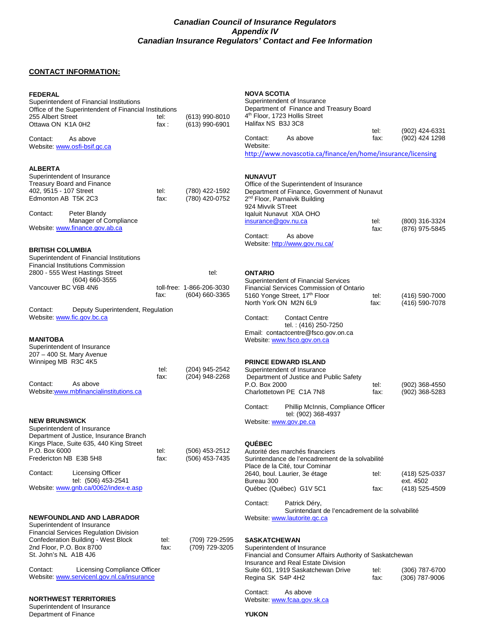## **Canadian Council of Insurance Regulators Appendix IV Canadian Insurance Regulators' Contact and Fee Information**

# **CONTACT INFORMATION:**

Department of Finance

| <b>FEDERAL</b><br>Superintendent of Financial Institutions<br>Office of the Superintendent of Financial Institutions<br>255 Albert Street<br>Ottawa ON K1A 0H2                                                                                                                                         | tel:<br>fax: | (613) 990-8010<br>(613) 990-6901                        | <b>NOVA SCOTIA</b><br>Superintendent of Insurance<br>Department of Finance and Treasury Board<br>4 <sup>th</sup> Floor, 1723 Hollis Street<br>Halifax NS B3J 3C8                                                                                                                                                                |              |                                               |
|--------------------------------------------------------------------------------------------------------------------------------------------------------------------------------------------------------------------------------------------------------------------------------------------------------|--------------|---------------------------------------------------------|---------------------------------------------------------------------------------------------------------------------------------------------------------------------------------------------------------------------------------------------------------------------------------------------------------------------------------|--------------|-----------------------------------------------|
| Contact:<br>As above<br>Website: www.osfi-bsif.gc.ca                                                                                                                                                                                                                                                   |              |                                                         | Contact:<br>As above<br>Website:                                                                                                                                                                                                                                                                                                | tel:<br>fax: | (902) 424-6331<br>(902) 424 1298              |
|                                                                                                                                                                                                                                                                                                        |              |                                                         | http://www.novascotia.ca/finance/en/home/insurance/licensing                                                                                                                                                                                                                                                                    |              |                                               |
| <b>ALBERTA</b><br>Superintendent of Insurance<br><b>Treasury Board and Finance</b><br>402, 9515 - 107 Street<br>Edmonton AB T5K 2C3<br>Peter Blandy<br>Contact:<br>Manager of Compliance<br>Website: www.finance.gov.ab.ca                                                                             | tel:<br>fax: | (780) 422-1592<br>(780) 420-0752                        | <b>NUNAVUT</b><br>Office of the Superintendent of Insurance<br>Department of Finance, Government of Nunavut<br>2 <sup>nd</sup> Floor, Parnaivik Building<br>924 Mivvik STreet<br>Iqaluit Nunavut X0A OHO<br>insurance@gov.nu.ca<br>Contact:<br>As above<br>Website: http://www.gov.nu.ca/                                       | tel:<br>fax: | (800) 316-3324<br>(876) 975-5845              |
| <b>BRITISH COLUMBIA</b><br>Superintendent of Financial Institutions<br><b>Financial Institutions Commission</b><br>2800 - 555 West Hastings Street<br>$(604) 660 - 3555$<br>Vancouver BC V6B 4N6<br>Deputy Superintendent, Regulation<br>Contact:<br>Website: www.fic.gov.bc.ca                        | fax:         | tel.<br>toll-free: 1-866-206-3030<br>$(604) 660 - 3365$ | <b>ONTARIO</b><br>Superintendent of Financial Services<br>Financial Services Commission of Ontario<br>5160 Yonge Street, 17th Floor<br>North York ON M2N 6L9<br>Contact:<br><b>Contact Centre</b><br>tel.: (416) 250-7250                                                                                                       | tel:<br>fax: | (416) 590-7000<br>(416) 590-7078              |
| <b>MANITOBA</b><br>Superintendent of Insurance<br>207 - 400 St. Mary Avenue<br>Winnipeg MB R3C 4K5<br>Contact:<br>As above<br>Website: www.mbfinancialinstitutions.ca                                                                                                                                  | tel:<br>fax: | (204) 945-2542<br>(204) 948-2268                        | Email: contactcentre@fsco.gov.on.ca<br>Website: www.fsco.gov.on.ca<br><b>PRINCE EDWARD ISLAND</b><br>Superintendent of Insurance<br>Department of Justice and Public Safety<br>P.O. Box 2000<br>Charlottetown PE C1A 7N8<br>Contact:<br>Phillip McInnis, Compliance Officer                                                     | tel:<br>fax: | (902) 368-4550<br>(902) 368-5283              |
| <b>NEW BRUNSWICK</b><br>Superintendent of Insurance<br>Department of Justice, Insurance Branch<br>Kings Place, Suite 635, 440 King Street<br>P.O. Box 6000<br>Fredericton NB E3B 5H8<br>Contact:<br><b>Licensing Officer</b><br>tel: (506) 453-2541<br>Website: www.gnb.ca/0062/index-e.asp            | tel:<br>fax: | (506) 453-2512<br>(506) 453-7435                        | tel: (902) 368-4937<br>Website: www.gov.pe.ca<br><b>QUÉBEC</b><br>Autorité des marchés financiers<br>Surintendance de l'encadrement de la solvabilité<br>Place de la Cité, tour Cominar<br>2640, boul. Laurier, 3e étage<br>Bureau 300<br>Québec (Québec) G1V 5C1                                                               | tel:<br>fax: | (418) 525-0337<br>ext. 4502<br>(418) 525-4509 |
| <b>NEWFOUNDLAND AND LABRADOR</b><br>Superintendent of Insurance<br><b>Financial Services Regulation Division</b><br>Confederation Building - West Block<br>2nd Floor, P.O. Box 8700<br>St. John's NL A1B 4J6<br>Licensing Compliance Officer<br>Contact:<br>Website: www.servicenl.gov.nl.ca/insurance | tel:<br>fax: | (709) 729-2595<br>(709) 729-3205                        | Contact:<br>Patrick Déry,<br>Surintendant de l'encadrement de la solvabilité<br>Website: www.lautorite.gc.ca<br><b>SASKATCHEWAN</b><br>Superintendent of Insurance<br>Financial and Consumer Affairs Authority of Saskatchewan<br>Insurance and Real Estate Division<br>Suite 601, 1919 Saskatchewan Drive<br>Regina SK S4P 4H2 | tel:<br>fax: | (306) 787-6700<br>$(306)$ 787-9006            |
| <b>NORTHWEST TERRITORIES</b><br>Superintendent of Insurance<br>Department of Finance                                                                                                                                                                                                                   |              |                                                         | Contact:<br>As above<br>Website: www.fcaa.gov.sk.ca<br><b>YUKON</b>                                                                                                                                                                                                                                                             |              |                                               |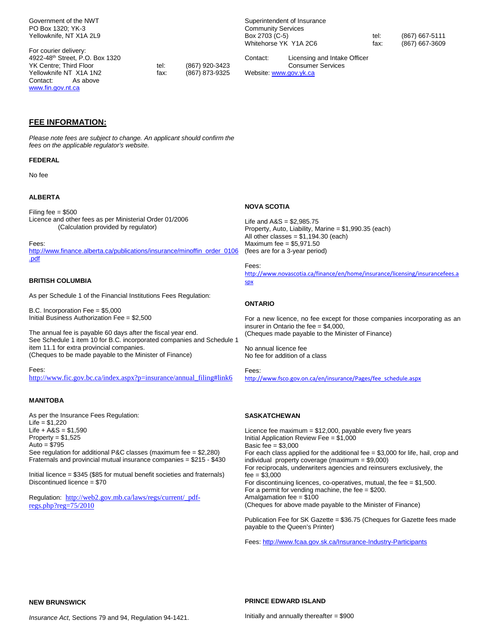Government of the NWT PO Box 1320; YK-3 Yellowknife, NT X1A 2L9

For courier delivery: 4922-48th Street, P.O. Box 1320 YK Centre; Third Floor (867) 920-3423<br>
Yellowknife NT X1A 1N2 (867) 873-9325 Yellowknife NT X1A 1N2 Contact: As above www.fin.gov.nt.ca

Superintendent of Insurance Community Services Box 2703 (C-5) tel: (867) 667-5111<br>Whitehorse YK Y1A 2C6 tax: (867) 667-3609 Whitehorse YK Y1A 2C6

Contact: Licensing and Intake Officer Consumer Services Website: www.gov.yk.ca

**FEE INFORMATION:** 

Please note fees are subject to change. An applicant should confirm the fees on the applicable regulator's website.

#### **FEDERAL**

No fee

#### **ALBERTA**

Filing fee = \$500 Licence and other fees as per Ministerial Order 01/2006 (Calculation provided by regulator)

Fees:

http://www.finance.alberta.ca/publications/insurance/minoffin\_order\_0106 .pdf

#### **BRITISH COLUMBIA**

As per Schedule 1 of the Financial Institutions Fees Regulation:

B.C. Incorporation Fee = \$5,000 Initial Business Authorization Fee = \$2,500

The annual fee is payable 60 days after the fiscal year end. See Schedule 1 item 10 for B.C. incorporated companies and Schedule 1 item 11.1 for extra provincial companies. (Cheques to be made payable to the Minister of Finance)

Fees: http://www.fic.gov.bc.ca/index.aspx?p=insurance/annual\_filing#link6

#### **MANITOBA**

As per the Insurance Fees Regulation: Life = \$1,220  $Life + A&S = $1,590$ Property  $= $1,525$ Auto  $= $795$ See regulation for additional P&C classes (maximum fee = \$2,280) Fraternals and provincial mutual insurance companies = \$215 - \$430

Initial licence = \$345 (\$85 for mutual benefit societies and fraternals) Discontinued licence = \$70

Regulation: http://web2.gov.mb.ca/laws/regs/current/\_pdfregs.php?reg=75/2010

#### **NOVA SCOTIA**

Life and A&S = \$2,985.75 Property, Auto, Liability, Marine = \$1,990.35 (each) All other classes =  $$1,194.30$  (each) Maximum fee = \$5,971.50 (fees are for a 3-year period)

#### Fees:

http://www.novascotia.ca/finance/en/home/insurance/licensing/insurancefees.a spx

#### **ONTARIO**

For a new licence, no fee except for those companies incorporating as an insurer in Ontario the fee  $=$  \$4,000. (Cheques made payable to the Minister of Finance)

No annual licence fee No fee for addition of a class

Fees: http://www.fsco.gov.on.ca/en/insurance/Pages/fee\_schedule.aspx

#### **SASKATCHEWAN**

Licence fee maximum = \$12,000, payable every five years Initial Application Review Fee = \$1,000 Basic fee = \$3,000 For each class applied for the additional fee = \$3,000 for life, hail, crop and individual property coverage (maximum = \$9,000) For reciprocals, underwriters agencies and reinsurers exclusively, the  $fee = $3,000$ For discontinuing licences, co-operatives, mutual, the fee  $= $1,500$ . For a permit for vending machine, the fee = \$200. Amalgamation fee = \$100 (Cheques for above made payable to the Minister of Finance)

Publication Fee for SK Gazette = \$36.75 (Cheques for Gazette fees made payable to the Queen's Printer)

Fees: http://www.fcaa.gov.sk.ca/Insurance-Industry-Participants

**NEW BRUNSWICK** 

**PRINCE EDWARD ISLAND** 

Insurance Act, Sections 79 and 94, Regulation 94-1421.